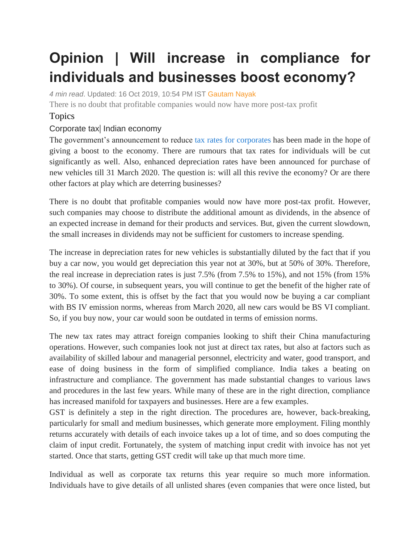## **Opinion | Will increase in compliance for individuals and businesses boost economy?**

*4 min read*. Updated: 16 Oct 2019, 10:54 PM IST [Gautam Nayak](https://www.livemint.com/Search/Link/Author/Gautam%20Nayak)

There is no doubt that profitable companies would now have more post-tax profit

## Topics

## [Corporate](https://www.livemint.com/topic/corporate-tax) tax| [Indian economy](https://www.livemint.com/topic/indian-economy)

The government's announcement to reduce [tax rates for corporates](https://www.livemint.com/industry/retail/corporate-tax-cut-to-benefit-organized-retail-sector-with-pricing-power-most-11570561022338.html) has been made in the hope of giving a boost to the economy. There are rumours that tax rates for individuals will be cut significantly as well. Also, enhanced depreciation rates have been announced for purchase of new vehicles till 31 March 2020. The question is: will all this revive the economy? Or are there other factors at play which are deterring businesses?

There is no doubt that profitable companies would now have more post-tax profit. However, such companies may choose to distribute the additional amount as dividends, in the absence of an expected increase in demand for their products and services. But, given the current slowdown, the small increases in dividends may not be sufficient for customers to increase spending.

The increase in depreciation rates for new vehicles is substantially diluted by the fact that if you buy a car now, you would get depreciation this year not at 30%, but at 50% of 30%. Therefore, the real increase in depreciation rates is just 7.5% (from 7.5% to 15%), and not 15% (from 15% to 30%). Of course, in subsequent years, you will continue to get the benefit of the higher rate of 30%. To some extent, this is offset by the fact that you would now be buying a car compliant with BS IV emission norms, whereas from March 2020, all new cars would be BS VI compliant. So, if you buy now, your car would soon be outdated in terms of emission norms.

The new tax rates may attract foreign companies looking to shift their China manufacturing operations. However, such companies look not just at direct tax rates, but also at factors such as availability of skilled labour and managerial personnel, electricity and water, good transport, and ease of doing business in the form of simplified compliance. India takes a beating on infrastructure and compliance. The government has made substantial changes to various laws and procedures in the last few years. While many of these are in the right direction, compliance has increased manifold for taxpayers and businesses. Here are a few examples.

GST is definitely a step in the right direction. The procedures are, however, back-breaking, particularly for small and medium businesses, which generate more employment. Filing monthly returns accurately with details of each invoice takes up a lot of time, and so does computing the claim of input credit. Fortunately, the system of matching input credit with invoice has not yet started. Once that starts, getting GST credit will take up that much more time.

Individual as well as corporate tax returns this year require so much more information. Individuals have to give details of all unlisted shares (even companies that were once listed, but